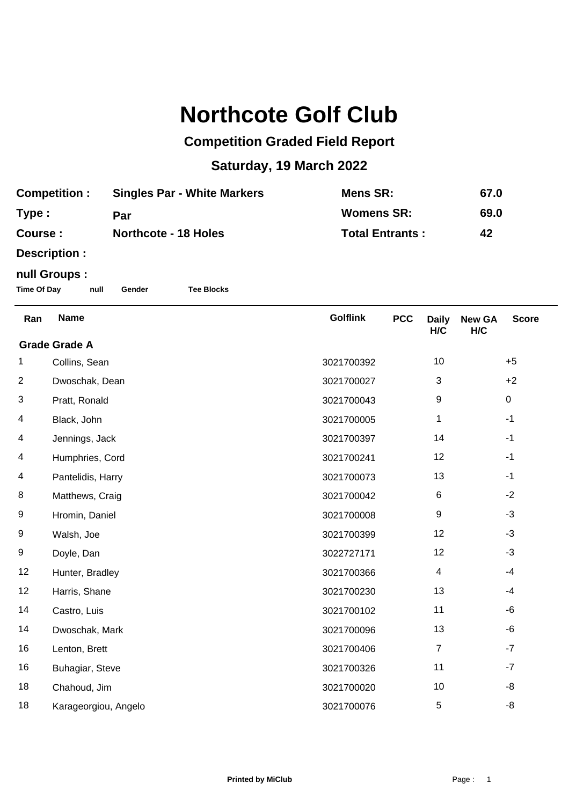## **Northcote Golf Club**

## **Competition Graded Field Report**

## **Saturday, 19 March 2022**

| <b>Competition :</b> | <b>Singles Par - White Markers</b> | Mens SR:               | 67.0 |
|----------------------|------------------------------------|------------------------|------|
| Type :               | Par                                | <b>Womens SR:</b>      | 69.0 |
| <b>Course :</b>      | <b>Northcote - 18 Holes</b>        | <b>Total Entrants:</b> | 42   |

**Description :**

## **null Groups :**

**Time Of Day null Gender Tee Blocks**

| Ran                  | <b>Name</b>          | <b>Golflink</b> | <b>PCC</b> | <b>Daily</b><br>H/C | <b>New GA</b><br>H/C | <b>Score</b> |  |
|----------------------|----------------------|-----------------|------------|---------------------|----------------------|--------------|--|
| <b>Grade Grade A</b> |                      |                 |            |                     |                      |              |  |
| 1                    | Collins, Sean        | 3021700392      |            | 10                  |                      | $+5$         |  |
| 2                    | Dwoschak, Dean       | 3021700027      |            | $\sqrt{3}$          |                      | $+2$         |  |
| 3                    | Pratt, Ronald        | 3021700043      |            | $\boldsymbol{9}$    |                      | $\pmb{0}$    |  |
| 4                    | Black, John          | 3021700005      |            | 1                   |                      | $-1$         |  |
| 4                    | Jennings, Jack       | 3021700397      |            | 14                  |                      | $-1$         |  |
| 4                    | Humphries, Cord      | 3021700241      |            | 12                  |                      | $-1$         |  |
| 4                    | Pantelidis, Harry    | 3021700073      |            | 13                  |                      | $-1$         |  |
| 8                    | Matthews, Craig      | 3021700042      |            | 6                   |                      | $-2$         |  |
| 9                    | Hromin, Daniel       | 3021700008      |            | $\boldsymbol{9}$    |                      | $-3$         |  |
| 9                    | Walsh, Joe           | 3021700399      |            | 12                  |                      | $-3$         |  |
| 9                    | Doyle, Dan           | 3022727171      |            | 12                  |                      | $-3$         |  |
| 12                   | Hunter, Bradley      | 3021700366      |            | $\overline{4}$      |                      | $-4$         |  |
| 12                   | Harris, Shane        | 3021700230      |            | 13                  |                      | $-4$         |  |
| 14                   | Castro, Luis         | 3021700102      |            | 11                  |                      | -6           |  |
| 14                   | Dwoschak, Mark       | 3021700096      |            | 13                  |                      | -6           |  |
| 16                   | Lenton, Brett        | 3021700406      |            | $\overline{7}$      |                      | $-7$         |  |
| 16                   | Buhagiar, Steve      | 3021700326      |            | 11                  |                      | $-7$         |  |
| 18                   | Chahoud, Jim         | 3021700020      |            | 10                  |                      | -8           |  |
| 18                   | Karageorgiou, Angelo | 3021700076      |            | 5                   |                      | -8           |  |